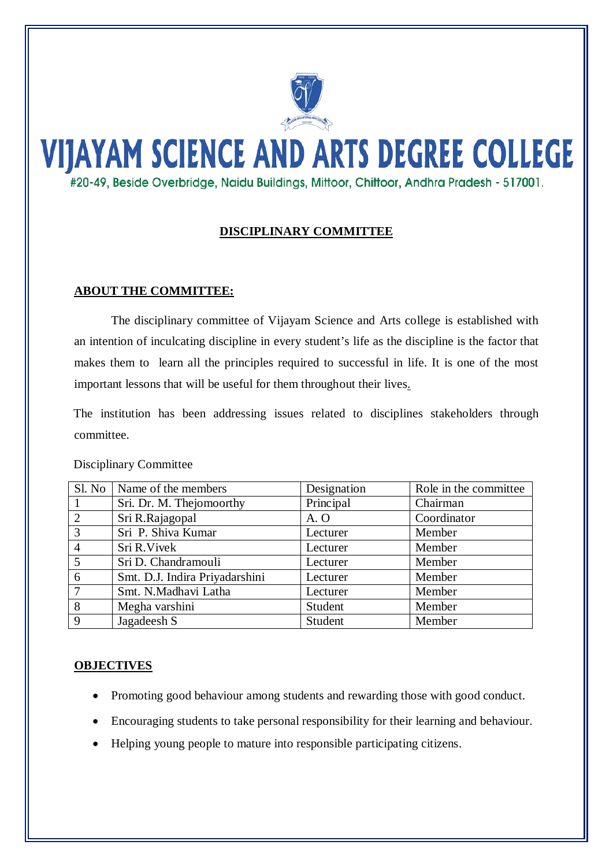

# **VIJAYAM SCIENCE AND ARTS DEGREE COLLEGE** #20-49, Beside Overbridge, Naidu Buildings, Mittoor, Chittoor, Andhra Pradesh - 517001.

## **DISCIPLINARY COMMITTEE**

#### **ABOUT THE COMMITTEE:**

The disciplinary committee of Vijayam Science and Arts college is established with an intention of inculcating discipline in every student's life as the discipline is the factor that makes them to learn all the principles required to successful in life. It is one of the most important lessons that will be useful for them throughout their lives .

The institution has been addressing issues related to disciplines stakeholders through committee.

| <b>Disciplinary Committee</b> |  |
|-------------------------------|--|
|-------------------------------|--|

| Sl. No          | Name of the members            | Designation | Role in the committee |
|-----------------|--------------------------------|-------------|-----------------------|
| -1              | Sri. Dr. M. Thejomoorthy       | Principal   | Chairman              |
| 2               | Sri R.Rajagopal                | A.O         | Coordinator           |
| 3               | Sri P. Shiva Kumar             | Lecturer    | Member                |
| $\overline{4}$  | Sri R. Vivek                   | Lecturer    | Member                |
| 5               | Sri D. Chandramouli            | Lecturer    | Member                |
| 6               | Smt. D.J. Indira Priyadarshini | Lecturer    | Member                |
| $7\phantom{.0}$ | Smt. N.Madhavi Latha           | Lecturer    | Member                |
| 8               | Megha varshini                 | Student     | Member                |
| 9               | Jagadeesh S                    | Student     | Member                |

#### **OBJECTIVES**

- Promoting good behaviour among students and rewarding those with good conduct.
- Encouraging students to take personal responsibility for their learning and behaviour.
- Helping young people to mature into responsible participating citizens.